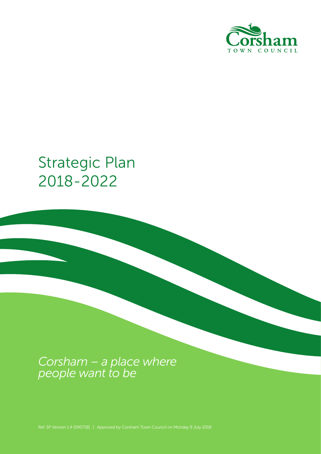

# Strategic Plan 2018-2022

*Corsham – a place where people want to be*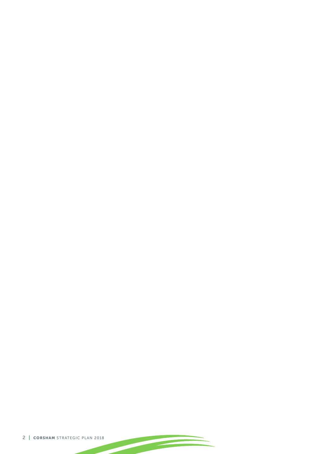**Contract Contract**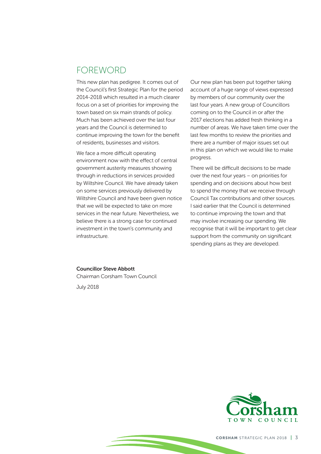### FOREWORD

This new plan has pedigree. It comes out of the Council's first Strategic Plan for the period 2014-2018 which resulted in a much clearer focus on a set of priorities for improving the town based on six main strands of policy. Much has been achieved over the last four years and the Council is determined to continue improving the town for the benefit of residents, businesses and visitors.

We face a more difficult operating environment now with the effect of central government austerity measures showing through in reductions in services provided by Wiltshire Council. We have already taken on some services previously delivered by Wiltshire Council and have been given notice that we will be expected to take on more services in the near future. Nevertheless, we believe there is a strong case for continued investment in the town's community and infrastructure.

Our new plan has been put together taking account of a huge range of views expressed by members of our community over the last four years. A new group of Councillors coming on to the Council in or after the 2017 elections has added fresh thinking in a number of areas. We have taken time over the last few months to review the priorities and there are a number of major issues set out in this plan on which we would like to make progress.

There will be difficult decisions to be made over the next four years – on priorities for spending and on decisions about how best to spend the money that we receive through Council Tax contributions and other sources. I said earlier that the Council is determined to continue improving the town and that may involve increasing our spending. We recognise that it will be important to get clear support from the community on significant spending plans as they are developed.

#### Councillor Steve Abbott

Chairman Corsham Town Council

July 2018

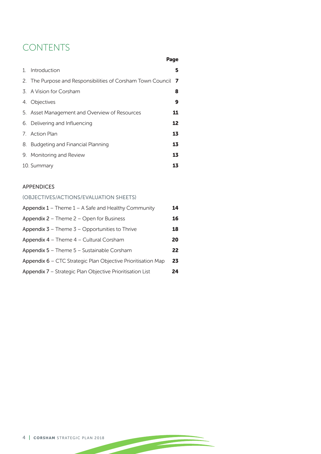# CONTENTS

|         | Page                                                          |    |
|---------|---------------------------------------------------------------|----|
| $1_{-}$ | Introduction                                                  | 5  |
|         | 2. The Purpose and Responsibilities of Corsham Town Council 7 |    |
|         | 3 A Vision for Corsham                                        | 8  |
|         | 4. Objectives                                                 | 9  |
|         | 5. Asset Management and Overview of Resources                 | 11 |
|         | 6. Delivering and Influencing                                 | 12 |
|         | 7. Action Plan                                                | 13 |
| 8.      | Budgeting and Financial Planning                              | 13 |
| 9.      | Monitoring and Review                                         | 13 |
|         | 10. Summary                                                   | 13 |

### APPENDICES

### (OBJECTIVES/ACTIONS/EVALUATION SHEETS)

| Appendix $1 -$ Theme $1 - A$ Safe and Healthy Community      | 14 |
|--------------------------------------------------------------|----|
| Appendix $2$ – Theme $2$ – Open for Business                 | 16 |
| Appendix $3$ – Theme $3$ – Opportunities to Thrive           | 18 |
| Appendix $4$ – Theme $4$ – Cultural Corsham                  | 20 |
| Appendix 5 - Theme 5 - Sustainable Corsham                   | 22 |
| Appendix 6 – CTC Strategic Plan Objective Prioritisation Map | 23 |
| Appendix 7 - Strategic Plan Objective Prioritisation List    | 24 |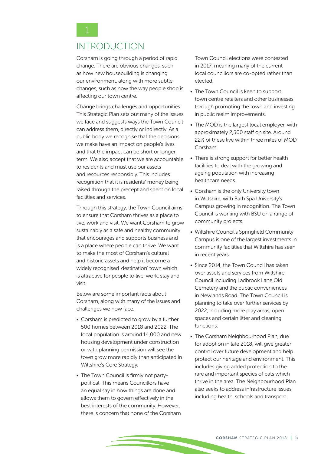

### INTRODUCTION

Corsham is going through a period of rapid change. There are obvious changes, such as how new housebuilding is changing our environment, along with more subtle changes, such as how the way people shop is affecting our town centre.

Change brings challenges and opportunities. This Strategic Plan sets out many of the issues we face and suggests ways the Town Council can address them, directly or indirectly. As a public body we recognise that the decisions we make have an impact on people's lives and that the impact can be short or longer term. We also accept that we are accountable to residents and must use our assets and resources responsibly. This includes recognition that it is residents' money being raised through the precept and spent on local facilities and services.

Through this strategy, the Town Council aims to ensure that Corsham thrives as a place to live, work and visit. We want Corsham to grow sustainably as a safe and healthy community that encourages and supports business and is a place where people can thrive. We want to make the most of Corsham's cultural and historic assets and help it become a widely recognised 'destination' town which is attractive for people to live, work, stay and visit.

Below are some important facts about Corsham, along with many of the issues and challenges we now face.

- Corsham is predicted to grow by a further 500 homes between 2018 and 2022. The local population is around 14,000 and new housing development under construction or with planning permission will see the town grow more rapidly than anticipated in Wiltshire's Core Strategy.
- The Town Council is firmly not partypolitical. This means Councillors have an equal say in how things are done and allows them to govern effectively in the best interests of the community. However, there is concern that none of the Corsham

Town Council elections were contested in 2017, meaning many of the current local councillors are co-opted rather than elected.

- The Town Council is keen to support town centre retailers and other businesses through promoting the town and investing in public realm improvements.
- The MOD is the largest local employer, with approximately 2,500 staff on site. Around 22% of these live within three miles of MOD Corsham.
- There is strong support for better health facilities to deal with the growing and ageing population with increasing healthcare needs.
- Corsham is the only University town in Wiltshire, with Bath Spa University's Campus growing in recognition. The Town Council is working with BSU on a range of community projects.
- Wiltshire Council's Springfield Community Campus is one of the largest investments in community facilities that Wiltshire has seen in recent years.
- Since 2014, the Town Council has taken over assets and services from Wiltshire Council including Ladbrook Lane Old Cemetery and the public conveniences in Newlands Road. The Town Council is planning to take over further services by 2022, including more play areas, open spaces and certain litter and cleaning functions.
- The Corsham Neighbourhood Plan, due for adoption in late 2018, will give greater control over future development and help protect our heritage and environment. This includes giving added protection to the rare and important species of bats which thrive in the area. The Neighbourhood Plan also seeks to address infrastructure issues including health, schools and transport.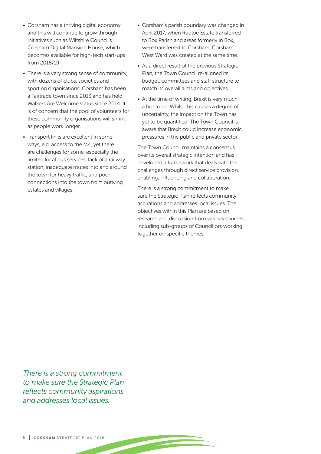- Corsham has a thriving digital economy and this will continue to grow through initiatives such as Wiltshire Council's Corsham Digital Mansion House, which becomes available for high-tech start-ups from 2018/19.
- There is a very strong sense of community, with dozens of clubs, societies and sporting organisations. Corsham has been a Fairtrade town since 2013 and has held Walkers Are Welcome status since 2014. It is of concern that the pool of volunteers for these community organisations will shrink as people work longer.
- Transport links are excellent in some ways, e.g. access to the M4, yet there are challenges for some, especially the limited local bus services, lack of a railway station, inadequate routes into and around the town for heavy traffic, and poor connections into the town from outlying estates and villages.
- Corsham's parish boundary was changed in April 2017, when Rudloe Estate transferred to Box Parish and areas formerly in Box, were transferred to Corsham. Corsham West Ward was created at the same time.
- As a direct result of the previous Strategic Plan, the Town Council re-aligned its budget, committees and staff structure to match its overall aims and objectives.
- At the time of writing, Brexit is very much a hot topic. Whilst this causes a degree of uncertainty, the impact on the Town has yet to be quantified. The Town Council is aware that Brexit could increase economic pressures in the public and private sector.

The Town Council maintains a consensus over its overall strategic intention and has developed a framework that deals with the challenges through direct service provision, enabling, influencing and collaboration.

There is a strong commitment to make sure the Strategic Plan reflects community aspirations and addresses local issues. The objectives within this Plan are based on research and discussion from various sources including sub-groups of Councillors working together on specific themes.

*There is a strong commitment to make sure the Strategic Plan reflects community aspirations and addresses local issues.*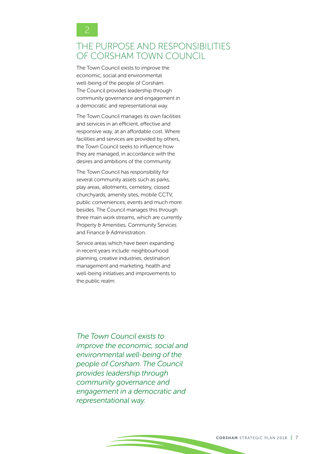### THE PURPOSE AND RESPONSIBILITIES OF CORSHAM TOWN COUNCIL

The Town Council exists to improve the economic, social and environmental well-being of the people of Corsham. The Council provides leadership through community governance and engagement in a democratic and representational way.

The Town Council manages its own facilities and services in an efficient, effective and responsive way, at an affordable cost. Where facilities and services are provided by others, the Town Council seeks to influence how they are managed, in accordance with the desires and ambitions of the community.

The Town Council has responsibility for several community assets such as parks, play areas, allotments, cemetery, closed churchyards, amenity sites, mobile CCTV, public conveniences, events and much more besides. The Council manages this through three main work streams, which are currently Property & Amenities, Community Services and Finance & Administration.

Service areas which have been expanding in recent years include: neighbourhood planning, creative industries, destination management and marketing, health and well-being initiatives and improvements to the public realm.

*The Town Council exists to improve the economic, social and environmental well-being of the people of Corsham. The Council provides leadership through community governance and engagement in a democratic and representational way.*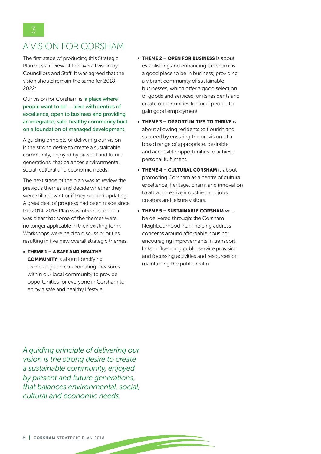# A VISION FOR CORSHAM

The first stage of producing this Strategic Plan was a review of the overall vision by Councillors and Staff. It was agreed that the vision should remain the same for 2018-  $2022$ 

Our vision for Corsham is 'a place where people want to be' – alive with centres of excellence, open to business and providing an integrated, safe, healthy community built on a foundation of managed development.

A guiding principle of delivering our vision is the strong desire to create a sustainable community, enjoyed by present and future generations, that balances environmental, social, cultural and economic needs.

The next stage of the plan was to review the previous themes and decide whether they were still relevant or if they needed updating. A great deal of progress had been made since the 2014-2018 Plan was introduced and it was clear that some of the themes were no longer applicable in their existing form. Workshops were held to discuss priorities, resulting in five new overall strategic themes:

• THEME 1 – A SAFE AND HEALTHY COMMUNITY is about identifying, promoting and co-ordinating measures within our local community to provide opportunities for everyone in Corsham to enjoy a safe and healthy lifestyle.

- THEME 2 OPEN FOR BUSINESS is about establishing and enhancing Corsham as a good place to be in business; providing a vibrant community of sustainable businesses, which offer a good selection of goods and services for its residents and create opportunities for local people to gain good employment.
- THEME 3 OPPORTUNITIES TO THRIVE is about allowing residents to flourish and succeed by ensuring the provision of a broad range of appropriate, desirable and accessible opportunities to achieve personal fulfilment.
- THEME 4 CULTURAL CORSHAM is about promoting Corsham as a centre of cultural excellence, heritage, charm and innovation to attract creative industries and jobs, creators and leisure visitors.
- THEME 5 SUSTAINABLE CORSHAM will be delivered through: the Corsham Neighbourhood Plan; helping address concerns around affordable housing; encouraging improvements in transport links; influencing public service provision and focussing activities and resources on maintaining the public realm.

*A guiding principle of delivering our vision is the strong desire to create a sustainable community, enjoyed by present and future generations, that balances environmental, social, cultural and economic needs.*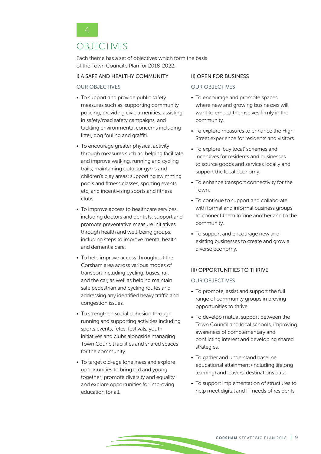# **OBJECTIVES**

Each theme has a set of objectives which form the basis of the Town Council's Plan for 2018-2022.

#### I) A SAFE AND HEALTHY COMMUNITY

### OUR OBJECTIVES

- To support and provide public safety measures such as: supporting community policing; providing civic amenities; assisting in safety/road safety campaigns, and tackling environmental concerns including litter, dog fouling and graffiti.
- To encourage greater physical activity through measures such as: helping facilitate and improve walking, running and cycling trails; maintaining outdoor gyms and children's play areas; supporting swimming pools and fitness classes, sporting events etc, and incentivising sports and fitness clubs.
- To improve access to healthcare services, including doctors and dentists; support and promote preventative measure initiatives through health and well-being groups, including steps to improve mental health and dementia care.
- To help improve access throughout the Corsham area across various modes of transport including cycling, buses, rail and the car, as well as helping maintain safe pedestrian and cycling routes and addressing any identified heavy traffic and congestion issues.
- To strengthen social cohesion through running and supporting activities including sports events, fetes, festivals, youth initiatives and clubs alongside managing Town Council facilities and shared spaces for the community.
- To target old-age loneliness and explore opportunities to bring old and young together; promote diversity and equality and explore opportunities for improving education for all.

### II) OPEN FOR BUSINESS

### OUR OBJECTIVES

- To encourage and promote spaces where new and growing businesses will want to embed themselves firmly in the community.
- To explore measures to enhance the High Street experience for residents and visitors.
- To explore 'buy local' schemes and incentives for residents and businesses to source goods and services locally and support the local economy.
- To enhance transport connectivity for the Town.
- To continue to support and collaborate with formal and informal business groups to connect them to one another and to the community.
- To support and encourage new and existing businesses to create and grow a diverse economy.

### III) OPPORTUNITIES TO THRIVE

### OUR OBJECTIVES

- To promote, assist and support the full range of community groups in proving opportunities to thrive.
- To develop mutual support between the Town Council and local schools, improving awareness of complementary and conflicting interest and developing shared strategies.
- To gather and understand baseline educational attainment (including lifelong learning) and leavers' destinations data.
- To support implementation of structures to help meet digital and IT needs of residents.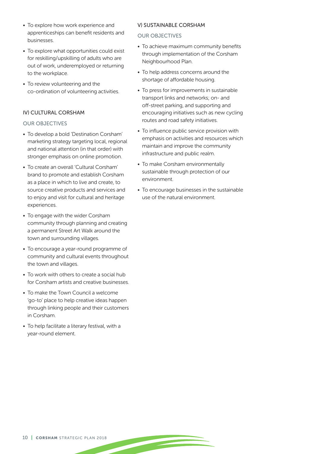- To explore how work experience and apprenticeships can benefit residents and businesses.
- To explore what opportunities could exist for reskilling/upskilling of adults who are out of work, underemployed or returning to the workplace.
- To review volunteering and the co-ordination of volunteering activities.

#### IV) CULTURAL CORSHAM

### OUR OBJECTIVES

- To develop a bold 'Destination Corsham' marketing strategy targeting local, regional and national attention (in that order) with stronger emphasis on online promotion.
- To create an overall 'Cultural Corsham' brand to promote and establish Corsham as a place in which to live and create, to source creative products and services and to enjoy and visit for cultural and heritage experiences.
- To engage with the wider Corsham community through planning and creating a permanent Street Art Walk around the town and surrounding villages.
- To encourage a year-round programme of community and cultural events throughout the town and villages.
- To work with others to create a social hub for Corsham artists and creative businesses.
- To make the Town Council a welcome 'go-to' place to help creative ideas happen through linking people and their customers in Corsham.
- To help facilitate a literary festival, with a year-round element.

### V) SUSTAINABLE CORSHAM

#### OUR OBJECTIVES

- To achieve maximum community benefits through implementation of the Corsham Neighbourhood Plan.
- To help address concerns around the shortage of affordable housing.
- To press for improvements in sustainable transport links and networks; on- and off-street parking, and supporting and encouraging initiatives such as new cycling routes and road safety initiatives.
- To influence public service provision with emphasis on activities and resources which maintain and improve the community infrastructure and public realm.
- To make Corsham environmentally sustainable through protection of our environment.
- To encourage businesses in the sustainable use of the natural environment.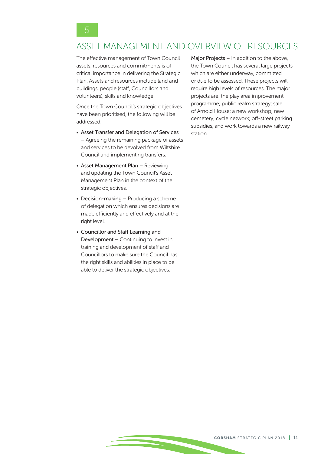### ASSET MANAGEMENT AND OVERVIEW OF RESOURCES

The effective management of Town Council assets, resources and commitments is of critical importance in delivering the Strategic Plan. Assets and resources include land and buildings, people (staff, Councillors and volunteers), skills and knowledge.

Once the Town Council's strategic objectives have been prioritised, the following will be addressed:

- Asset Transfer and Delegation of Services – Agreeing the remaining package of assets and services to be devolved from Wiltshire Council and implementing transfers.
- Asset Management Plan Reviewing and updating the Town Council's Asset Management Plan in the context of the strategic objectives.
- Decision-making Producing a scheme of delegation which ensures decisions are made efficiently and effectively and at the right level.
- Councillor and Staff Learning and Development – Continuing to invest in training and development of staff and Councillors to make sure the Council has the right skills and abilities in place to be able to deliver the strategic objectives.

Major Projects – In addition to the above, the Town Council has several large projects which are either underway, committed or due to be assessed. These projects will require high levels of resources. The major projects are: the play area improvement programme; public realm strategy; sale of Arnold House; a new workshop; new cemetery; cycle network; off-street parking subsidies, and work towards a new railway station.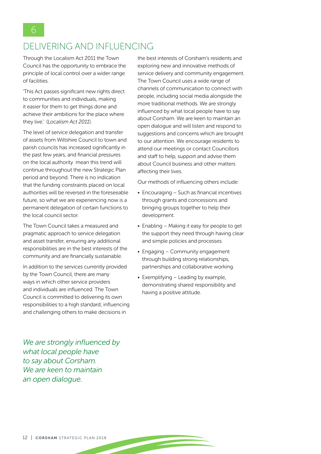# DELIVERING AND INFLUENCING

Through the Localism Act 2011 the Town Council has the opportunity to embrace the principle of local control over a wider range of facilities.

'This Act passes significant new rights direct to communities and individuals, making it easier for them to get things done and achieve their ambitions for the place where they live.' (*Localism Act 2011*).

The level of service delegation and transfer of assets from Wiltshire Council to town and parish councils has increased significantly in the past few years, and financial pressures on the local authority mean this trend will continue throughout the new Strategic Plan period and beyond. There is no indication that the funding constraints placed on local authorities will be reversed in the foreseeable future, so what we are experiencing now is a permanent delegation of certain functions to the local council sector.

The Town Council takes a measured and pragmatic approach to service delegation and asset transfer, ensuring any additional responsibilities are in the best interests of the community and are financially sustainable.

In addition to the services currently provided by the Town Council, there are many ways in which other service providers and individuals are influenced. The Town Council is committed to delivering its own responsibilities to a high standard; influencing and challenging others to make decisions in

*We are strongly influenced by what local people have to say about Corsham. We are keen to maintain an open dialogue.*

the best interests of Corsham's residents and exploring new and innovative methods of service delivery and community engagement. The Town Council uses a wide range of channels of communication to connect with people, including social media alongside the more traditional methods. We are strongly influenced by what local people have to say about Corsham. We are keen to maintain an open dialogue and will listen and respond to suggestions and concerns which are brought to our attention. We encourage residents to attend our meetings or contact Councillors and staff to help, support and advise them about Council business and other matters affecting their lives.

Our methods of influencing others include:

- Encouraging Such as financial incentives through grants and concessions and bringing groups together to help their development.
- Enabling Making it easy for people to get the support they need through having clear and simple policies and processes.
- Engaging Community engagement through building strong relationships, partnerships and collaborative working.
- Exemplifying Leading by example, demonstrating shared responsibility and having a positive attitude.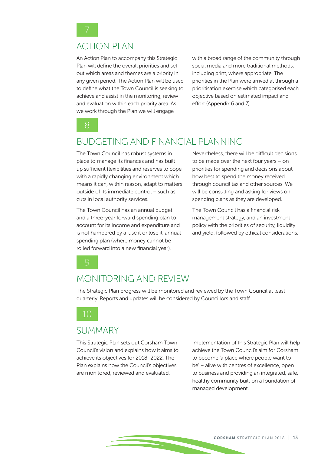

An Action Plan to accompany this Strategic Plan will define the overall priorities and set out which areas and themes are a priority in any given period. The Action Plan will be used to define what the Town Council is seeking to achieve and assist in the monitoring, review and evaluation within each priority area. As we work through the Plan we will engage

with a broad range of the community through social media and more traditional methods, including print, where appropriate. The priorities in the Plan were arrived at through a prioritisation exercise which categorised each objective based on estimated impact and effort (Appendix 6 and 7).

8

### BUDGETING AND FINANCIAL PLANNING

The Town Council has robust systems in place to manage its finances and has built up sufficient flexibilities and reserves to cope with a rapidly changing environment which means it can, within reason, adapt to matters outside of its immediate control – such as cuts in local authority services.

The Town Council has an annual budget and a three-year forward spending plan to account for its income and expenditure and is not hampered by a 'use it or lose it' annual spending plan (where money cannot be rolled forward into a new financial year).

Nevertheless, there will be difficult decisions to be made over the next four years – on priorities for spending and decisions about how best to spend the money received through council tax and other sources. We will be consulting and asking for views on spending plans as they are developed.

The Town Council has a financial risk management strategy, and an investment policy with the priorities of security, liquidity and yield, followed by ethical considerations.

9

### MONITORING AND REVIEW

The Strategic Plan progress will be monitored and reviewed by the Town Council at least quarterly. Reports and updates will be considered by Councillors and staff.



### SUMMARY

This Strategic Plan sets out Corsham Town Council's vision and explains how it aims to achieve its objectives for 2018-2022. The Plan explains how the Council's objectives are monitored, reviewed and evaluated.

Implementation of this Strategic Plan will help achieve the Town Council's aim for Corsham to become 'a place where people want to be' – alive with centres of excellence, open to business and providing an integrated, safe, healthy community built on a foundation of managed development.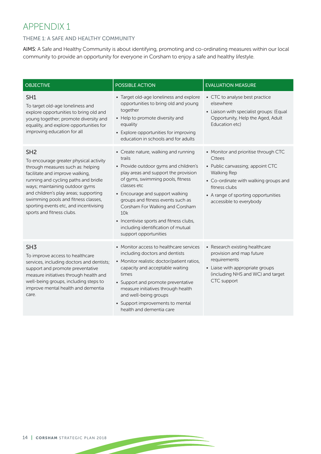### THEME 1: A SAFE AND HEALTHY COMMUNITY

AIMS: A Safe and Healthy Community is about identifying, promoting and co-ordinating measures within our local community to provide an opportunity for everyone in Corsham to enjoy a safe and healthy lifestyle.

| <b>OBJECTIVE</b>                                                                                                                                                                                                                                                                                                                                                   | <b>POSSIBLE ACTION</b>                                                                                                                                                                                                                                                                                                                                                                                         | <b>EVALUATION MEASURE</b>                                                                                                                                                                                                                   |
|--------------------------------------------------------------------------------------------------------------------------------------------------------------------------------------------------------------------------------------------------------------------------------------------------------------------------------------------------------------------|----------------------------------------------------------------------------------------------------------------------------------------------------------------------------------------------------------------------------------------------------------------------------------------------------------------------------------------------------------------------------------------------------------------|---------------------------------------------------------------------------------------------------------------------------------------------------------------------------------------------------------------------------------------------|
| SH <sub>1</sub><br>To target old-age loneliness and<br>explore opportunities to bring old and<br>young together; promote diversity and<br>equality, and explore opportunities for<br>improving education for all                                                                                                                                                   | • Target old-age loneliness and explore<br>opportunities to bring old and young<br>together<br>• Help to promote diversity and<br>equality<br>• Explore opportunities for improving<br>education in schools and for adults                                                                                                                                                                                     | • CTC to analyse best practice<br>elsewhere<br>• Liaison with specialist groups: (Equal<br>Opportunity, Help the Aged, Adult<br>Education etc)                                                                                              |
| SH <sub>2</sub><br>To encourage greater physical activity<br>through measures such as: helping<br>facilitate and improve walking,<br>running and cycling paths and bridle<br>ways; maintaining outdoor gyms<br>and children's play areas; supporting<br>swimming pools and fitness classes,<br>sporting events etc, and incentivising<br>sports and fitness clubs. | • Create nature, walking and running<br>trails<br>• Provide outdoor gyms and children's<br>play areas and support the provision<br>of gyms, swimming pools, fitness<br>classes etc<br>• Encourage and support walking<br>groups and fitness events such as<br>Corsham For Walking and Corsham<br>10k<br>• Incentivise sports and fitness clubs,<br>including identification of mutual<br>support opportunities | • Monitor and prioritise through CTC<br><b>Cttees</b><br>• Public canvassing; appoint CTC<br><b>Walking Rep</b><br>• Co-ordinate with walking groups and<br>fitness clubs<br>• A range of sporting opportunities<br>accessible to everybody |
| SH <sub>3</sub><br>To improve access to healthcare<br>services, including doctors and dentists;<br>support and promote preventative<br>measure initiatives through health and<br>well-being groups, including steps to<br>improve mental health and dementia<br>care.                                                                                              | • Monitor access to healthcare services<br>including doctors and dentists<br>• Monitor realistic doctor/patient ratios,<br>capacity and acceptable waiting<br>times<br>• Support and promote preventative<br>measure initiatives through health<br>and well-being groups<br>• Support improvements to mental<br>health and dementia care                                                                       | • Research existing healthcare<br>provision and map future<br>requirements<br>• Liaise with appropriate groups<br>(including NHS and WC) and target<br>CTC support                                                                          |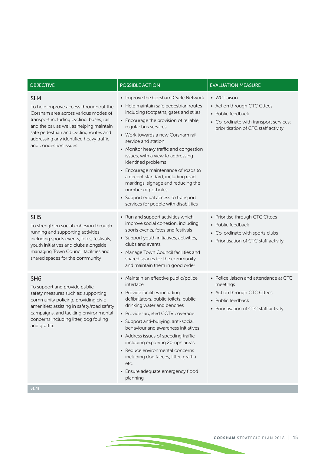| <b>OBJECTIVE</b>                                                                                                                                                                                                                                                                            | <b>POSSIBLE ACTION</b>                                                                                                                                                                                                                                                                                                                                                                                                                                                                                                                                                             | <b>EVALUATION MEASURE</b>                                                                                                                          |
|---------------------------------------------------------------------------------------------------------------------------------------------------------------------------------------------------------------------------------------------------------------------------------------------|------------------------------------------------------------------------------------------------------------------------------------------------------------------------------------------------------------------------------------------------------------------------------------------------------------------------------------------------------------------------------------------------------------------------------------------------------------------------------------------------------------------------------------------------------------------------------------|----------------------------------------------------------------------------------------------------------------------------------------------------|
| SH4<br>To help improve access throughout the<br>Corsham area across various modes of<br>transport including cycling, buses, rail<br>and the car, as well as helping maintain<br>safe pedestrian and cycling routes and<br>addressing any identified heavy traffic<br>and congestion issues. | • Improve the Corsham Cycle Network<br>• Help maintain safe pedestrian routes<br>including footpaths, gates and stiles<br>• Encourage the provision of reliable,<br>regular bus services<br>• Work towards a new Corsham rail<br>service and station<br>• Monitor heavy traffic and congestion<br>issues, with a view to addressing<br>identified problems<br>• Encourage maintenance of roads to<br>a decent standard, including road<br>markings, signage and reducing the<br>number of potholes<br>• Support equal access to transport<br>services for people with disabilities | • WC liaison<br>• Action through CTC Cttees<br>• Public feedback<br>• Co-ordinate with transport services;<br>prioritisation of CTC staff activity |
| SH <sub>5</sub><br>To strengthen social cohesion through<br>running and supporting activities<br>including sports events, fetes, festivals,<br>youth initiatives and clubs alongside<br>managing Town Council facilities and<br>shared spaces for the community                             | • Run and support activities which<br>improve social cohesion, including<br>sports events, fetes and festivals<br>• Support youth initiatives, activities,<br>clubs and events<br>• Manage Town Council facilities and<br>shared spaces for the community<br>and maintain them in good order                                                                                                                                                                                                                                                                                       | • Prioritise through CTC Cttees<br>• Public feedback<br>• Co-ordinate with sports clubs<br>• Prioritisation of CTC staff activity                  |
| SH <sub>6</sub><br>To support and provide public<br>safety measures such as: supporting<br>community policing; providing civic<br>amenities; assisting in safety/road safety<br>campaigns, and tackling environmental<br>concerns including litter, dog fouling<br>and graffiti.<br>v1.4t   | • Maintain an effective public/police<br>interface<br>• Provide facilities including<br>defibrillators, public toilets, public<br>drinking water and benches<br>• Provide targeted CCTV coverage<br>· Support anti-bullying, anti-social<br>behaviour and awareness initiatives<br>• Address issues of speeding traffic<br>including exploring 20mph areas<br>• Reduce environmental concerns<br>including dog faeces, litter, graffiti<br>etc.<br>• Ensure adequate emergency flood<br>planning                                                                                   | • Police liaison and attendance at CTC<br>meetings<br>• Action through CTC Cttees<br>• Public feedback<br>• Prioritisation of CTC staff activity   |
|                                                                                                                                                                                                                                                                                             |                                                                                                                                                                                                                                                                                                                                                                                                                                                                                                                                                                                    |                                                                                                                                                    |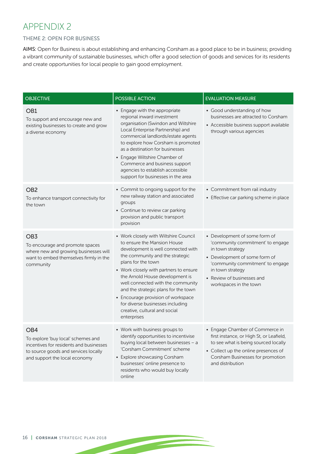### THEME 2: OPEN FOR BUSINESS

AIMS: Open for Business is about establishing and enhancing Corsham as a good place to be in business; providing a vibrant community of sustainable businesses, which offer a good selection of goods and services for its residents and create opportunities for local people to gain good employment.

| <b>OBJECTIVE</b>                                                                                                                                              | <b>POSSIBLE ACTION</b>                                                                                                                                                                                                                                                                                                                                                                                                                                  | <b>EVALUATION MEASURE</b>                                                                                                                                                                                                              |
|---------------------------------------------------------------------------------------------------------------------------------------------------------------|---------------------------------------------------------------------------------------------------------------------------------------------------------------------------------------------------------------------------------------------------------------------------------------------------------------------------------------------------------------------------------------------------------------------------------------------------------|----------------------------------------------------------------------------------------------------------------------------------------------------------------------------------------------------------------------------------------|
| OB <sub>1</sub><br>To support and encourage new and<br>existing businesses to create and grow<br>a diverse economy                                            | • Engage with the appropriate<br>regional inward investment<br>organisation (Swindon and Wiltshire<br>Local Enterprise Partnership) and<br>commercial landlords/estate agents<br>to explore how Corsham is promoted<br>as a destination for businesses<br>• Engage Wiltshire Chamber of<br>Commerce and business support<br>agencies to establish accessible<br>support for businesses in the area                                                      | • Good understanding of how<br>businesses are attracted to Corsham<br>• Accessible business support available<br>through various agencies                                                                                              |
| OB <sub>2</sub><br>To enhance transport connectivity for<br>the town                                                                                          | • Commit to ongoing support for the<br>new railway station and associated<br>groups<br>• Continue to review car parking<br>provision and public transport<br>provision                                                                                                                                                                                                                                                                                  | • Commitment from rail industry<br>• Effective car parking scheme in place                                                                                                                                                             |
| OB <sub>3</sub><br>To encourage and promote spaces<br>where new and growing businesses will<br>want to embed themselves firmly in the<br>community            | • Work closely with Wiltshire Council<br>to ensure the Mansion House<br>development is well connected with<br>the community and the strategic<br>plans for the town<br>• Work closely with partners to ensure<br>the Arnold House development is<br>well connected with the community<br>and the strategic plans for the town<br>• Encourage provision of workspace<br>for diverse businesses including<br>creative, cultural and social<br>enterprises | • Development of some form of<br>'community commitment' to engage<br>in town strategy<br>• Development of some form of<br>'community commitment' to engage<br>in town strategy<br>• Review of businesses and<br>workspaces in the town |
| OB4<br>To explore 'buy local' schemes and<br>incentives for residents and businesses<br>to source goods and services locally<br>and support the local economy | • Work with business groups to<br>identify opportunities to incentivise<br>buying local between businesses - a<br>'Corsham Commitment' scheme<br>• Explore showcasing Corsham<br>businesses' online presence to<br>residents who would buy locally<br>online                                                                                                                                                                                            | • Engage Chamber of Commerce in<br>first instance, or High St, or Leafield,<br>to see what is being sourced locally<br>• Collect up the online presences of<br>Corsham Businesses for promotion<br>and distribution                    |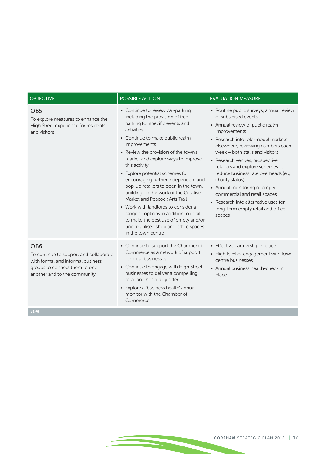| <b>OBJECTIVE</b>                                                                                                                                                                | <b>POSSIBLE ACTION</b>                                                                                                                                                                                                                                                                                                                                                                                                                                                                                                                                                                                                                                     | <b>EVALUATION MEASURE</b>                                                                                                                                                                                                                                                                                                                                                                                                                                                                                                |
|---------------------------------------------------------------------------------------------------------------------------------------------------------------------------------|------------------------------------------------------------------------------------------------------------------------------------------------------------------------------------------------------------------------------------------------------------------------------------------------------------------------------------------------------------------------------------------------------------------------------------------------------------------------------------------------------------------------------------------------------------------------------------------------------------------------------------------------------------|--------------------------------------------------------------------------------------------------------------------------------------------------------------------------------------------------------------------------------------------------------------------------------------------------------------------------------------------------------------------------------------------------------------------------------------------------------------------------------------------------------------------------|
| OB <sub>5</sub><br>To explore measures to enhance the<br>High Street experience for residents<br>and visitors                                                                   | • Continue to review car-parking<br>including the provision of free<br>parking for specific events and<br>activities<br>• Continue to make public realm<br>improvements<br>• Review the provision of the town's<br>market and explore ways to improve<br>this activity<br>• Explore potential schemes for<br>encouraging further independent and<br>pop-up retailers to open in the town,<br>building on the work of the Creative<br>Market and Peacock Arts Trail<br>• Work with landlords to consider a<br>range of options in addition to retail<br>to make the best use of empty and/or<br>under-utilised shop and office spaces<br>in the town centre | • Routine public surveys, annual review<br>of subsidised events<br>• Annual review of public realm<br>improvements<br>• Research into role-model markets<br>elsewhere, reviewing numbers each<br>week – both stalls and visitors<br>• Research venues, prospective<br>retailers and explore schemes to<br>reduce business rate overheads (e.g.<br>charity status)<br>• Annual monitoring of empty<br>commercial and retail spaces<br>• Research into alternative uses for<br>long-term empty retail and office<br>spaces |
| OB <sub>6</sub><br>To continue to support and collaborate<br>with formal and informal business<br>groups to connect them to one<br>another and to the community<br>$-4 - 4 - 1$ | • Continue to support the Chamber of<br>Commerce as a network of support<br>for local businesses<br>• Continue to engage with High Street<br>businesses to deliver a compelling<br>retail and hospitality offer<br>• Explore a 'business health' annual<br>monitor with the Chamber of<br>Commerce                                                                                                                                                                                                                                                                                                                                                         | • Effective partnership in place<br>• High level of engagement with town<br>centre businesses<br>• Annual business health-check in<br>place                                                                                                                                                                                                                                                                                                                                                                              |

**Contract Contract Contract Contract Contract Contract Contract Contract Contract Contract Contract Contract Contract Contract Contract Contract Contract Contract Contract Contract Contract Contract Contract Contract Contr** 

 $v1.4t$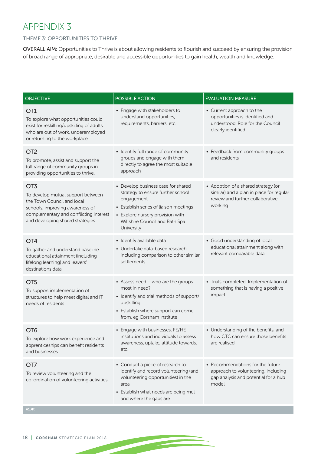### THEME 3: OPPORTUNITIES TO THRIVE

OVERALL AIM: Opportunities to Thrive is about allowing residents to flourish and succeed by ensuring the provision of broad range of appropriate, desirable and accessible opportunities to gain health, wealth and knowledge.

| <b>OBJECTIVE</b>                                                                                                                                                                                    | <b>POSSIBLE ACTION</b>                                                                                                                                                                                              | <b>EVALUATION MEASURE</b>                                                                                                      |
|-----------------------------------------------------------------------------------------------------------------------------------------------------------------------------------------------------|---------------------------------------------------------------------------------------------------------------------------------------------------------------------------------------------------------------------|--------------------------------------------------------------------------------------------------------------------------------|
| OT <sub>1</sub><br>To explore what opportunities could<br>exist for reskilling/upskilling of adults<br>who are out of work, underemployed<br>or returning to the workplace                          | • Engage with stakeholders to<br>understand opportunities,<br>requirements, barriers, etc.                                                                                                                          | • Current approach to the<br>opportunities is identified and<br>understood. Role for the Council<br>clearly identified         |
| OT <sub>2</sub><br>To promote, assist and support the<br>full range of community groups in<br>providing opportunities to thrive.                                                                    | • Identify full range of community<br>groups and engage with them<br>directly to agree the most suitable<br>approach                                                                                                | • Feedback from community groups<br>and residents                                                                              |
| OT <sub>3</sub><br>To develop mutual support between<br>the Town Council and local<br>schools, improving awareness of<br>complementary and conflicting interest<br>and developing shared strategies | • Develop business case for shared<br>strategy to ensure further school<br>engagement<br>• Establish series of liaison meetings<br>• Explore nursery provision with<br>Wiltshire Council and Bath Spa<br>University | • Adoption of a shared strategy (or<br>similar) and a plan in place for regular<br>review and further collaborative<br>working |
| OT <sub>4</sub><br>To gather and understand baseline<br>educational attainment (including<br>lifelong learning) and leavers'<br>destinations data                                                   | · Identify available data<br>• Undertake data-based research<br>including comparison to other similar<br>settlements                                                                                                | • Good understanding of local<br>educational attainment along with<br>relevant comparable data                                 |
| OT <sub>5</sub><br>To support implementation of<br>structures to help meet digital and IT<br>needs of residents                                                                                     | • Assess need - who are the groups<br>most in need?<br>• Identify and trial methods of support/<br>upskilling<br>• Establish where support can come<br>from, eg Corsham Institute                                   | • Trials completed. Implementation of<br>something that is having a positive<br>impact                                         |
| OT <sub>6</sub><br>To explore how work experience and<br>apprenticeships can benefit residents<br>and businesses                                                                                    | • Engage with businesses, FE/HE<br>institutions and individuals to assess<br>awareness, uptake, attitude towards,<br>etc.                                                                                           | • Understanding of the benefits, and<br>how CTC can ensure those benefits<br>are realised                                      |
| OT7<br>To review volunteering and the<br>co-ordination of volunteering activities                                                                                                                   | • Conduct a piece of research to<br>identify and record volunteering (and<br>volunteering opportunities) in the<br>area<br>• Establish what needs are being met<br>and where the gaps are                           | • Recommendations for the future<br>approach to volunteering, including<br>gap analysis and potential for a hub<br>model       |

v1.4t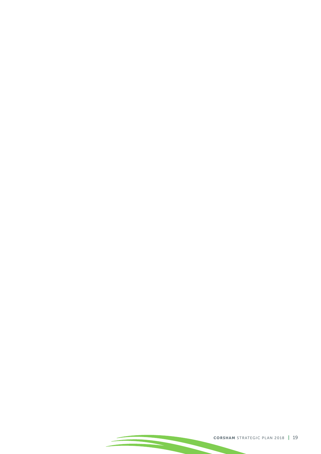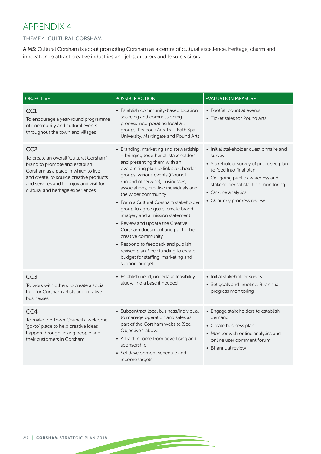### THEME 4: CULTURAL CORSHAM

AIMS: Cultural Corsham is about promoting Corsham as a centre of cultural excellence, heritage, charm and innovation to attract creative industries and jobs, creators and leisure visitors.

| <b>OBJECTIVE</b>                                                                                                                                                                                                                                               | <b>POSSIBLE ACTION</b>                                                                                                                                                                                                                                                                                                                                                                                                                                                                                                                                                                                                                          | <b>EVALUATION MEASURE</b>                                                                                                                                                                                                                              |
|----------------------------------------------------------------------------------------------------------------------------------------------------------------------------------------------------------------------------------------------------------------|-------------------------------------------------------------------------------------------------------------------------------------------------------------------------------------------------------------------------------------------------------------------------------------------------------------------------------------------------------------------------------------------------------------------------------------------------------------------------------------------------------------------------------------------------------------------------------------------------------------------------------------------------|--------------------------------------------------------------------------------------------------------------------------------------------------------------------------------------------------------------------------------------------------------|
| CC1<br>To encourage a year-round programme<br>of community and cultural events<br>throughout the town and villages                                                                                                                                             | • Establish community-based location<br>sourcing and commissioning<br>process incorporating local art<br>groups, Peacock Arts Trail, Bath Spa<br>University, Martingate and Pound Arts                                                                                                                                                                                                                                                                                                                                                                                                                                                          | • Footfall count at events<br>• Ticket sales for Pound Arts                                                                                                                                                                                            |
| CC <sub>2</sub><br>To create an overall 'Cultural Corsham'<br>brand to promote and establish<br>Corsham as a place in which to live<br>and create, to source creative products<br>and services and to enjoy and visit for<br>cultural and heritage experiences | • Branding, marketing and stewardship<br>- bringing together all stakeholders<br>and presenting them with an<br>overarching plan to link stakeholder<br>groups, various events (Council<br>run and otherwise), businesses,<br>associations, creative individuals and<br>the wider community<br>• Form a Cultural Corsham stakeholder<br>group to agree goals, create brand<br>imagery and a mission statement<br>• Review and update the Creative<br>Corsham document and put to the<br>creative community<br>• Respond to feedback and publish<br>revised plan. Seek funding to create<br>budget for staffing, marketing and<br>support budget | • Initial stakeholder questionnaire and<br>survey<br>• Stakeholder survey of proposed plan<br>to feed into final plan<br>• On-going public awareness and<br>stakeholder satisfaction monitoring.<br>• On-line analytics<br>• Quarterly progress review |
| CC <sub>3</sub><br>To work with others to create a social<br>hub for Corsham artists and creative<br>businesses                                                                                                                                                | • Establish need, undertake feasibility<br>study, find a base if needed                                                                                                                                                                                                                                                                                                                                                                                                                                                                                                                                                                         | • Initial stakeholder survey<br>• Set goals and timeline. Bi-annual<br>progress monitoring                                                                                                                                                             |
| CC4<br>To make the Town Council a welcome<br>'go-to' place to help creative ideas<br>happen through linking people and<br>their customers in Corsham                                                                                                           | • Subcontract local business/individual<br>to manage operation and sales as<br>part of the Corsham website (See<br>Objective 1 above)<br>• Attract income from advertising and<br>sponsorship<br>• Set development schedule and<br>income targets                                                                                                                                                                                                                                                                                                                                                                                               | • Engage stakeholders to establish<br>demand<br>• Create business plan<br>• Monitor with online analytics and<br>online user comment forum<br>• Bi-annual review                                                                                       |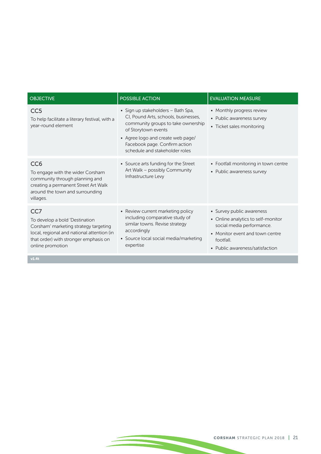| <b>OBJECTIVE</b>                                                                                                                                                                                      | <b>POSSIBLE ACTION</b>                                                                                                                                                                                                                          | <b>EVALUATION MEASURE</b>                                                                                                                                                       |
|-------------------------------------------------------------------------------------------------------------------------------------------------------------------------------------------------------|-------------------------------------------------------------------------------------------------------------------------------------------------------------------------------------------------------------------------------------------------|---------------------------------------------------------------------------------------------------------------------------------------------------------------------------------|
| CC <sub>5</sub><br>To help facilitate a literary festival, with a<br>year-round element                                                                                                               | • Sign up stakeholders - Bath Spa,<br>CI, Pound Arts, schools, businesses,<br>community groups to take ownership<br>of Storytown events<br>• Agree logo and create web page/<br>Facebook page. Confirm action<br>schedule and stakeholder roles | • Monthly progress review<br>• Public awareness survey<br>• Ticket sales monitoring                                                                                             |
| CC <sub>6</sub><br>To engage with the wider Corsham<br>community through planning and<br>creating a permanent Street Art Walk<br>around the town and surrounding<br>villages.                         | • Source arts funding for the Street<br>Art Walk – possibly Community<br>Infrastructure Levy                                                                                                                                                    | • Footfall monitoring in town centre<br>• Public awareness survey                                                                                                               |
| CC <sub>7</sub><br>To develop a bold 'Destination<br>Corsham' marketing strategy targeting<br>local, regional and national attention (in<br>that order) with stronger emphasis on<br>online promotion | • Review current marketing policy<br>including comparative study of<br>similar towns. Revise strategy<br>accordingly<br>• Source local social media/marketing<br>expertise                                                                      | • Survey public awareness<br>• Online analytics to self-monitor<br>social media performance.<br>• Monitor event and town centre<br>footfall.<br>• Public awareness/satisfaction |
| v1.4t                                                                                                                                                                                                 |                                                                                                                                                                                                                                                 |                                                                                                                                                                                 |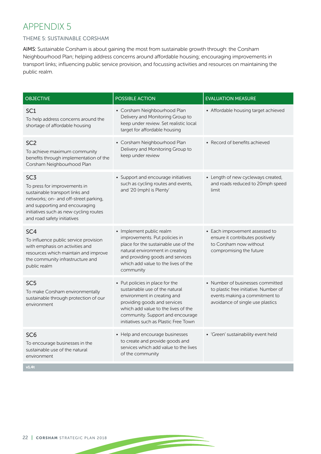### THEME 5: SUSTAINABLE CORSHAM

AIMS: Sustainable Corsham is about gaining the most from sustainable growth through: the Corsham Neighbourhood Plan; helping address concerns around affordable housing; encouraging improvements in transport links; influencing public service provision, and focussing activities and resources on maintaining the public realm.

| <b>OBJECTIVE</b>                                                                                                                                                                                                                       | <b>POSSIBLE ACTION</b>                                                                                                                                                                                                                               | <b>EVALUATION MEASURE</b>                                                                                                                      |
|----------------------------------------------------------------------------------------------------------------------------------------------------------------------------------------------------------------------------------------|------------------------------------------------------------------------------------------------------------------------------------------------------------------------------------------------------------------------------------------------------|------------------------------------------------------------------------------------------------------------------------------------------------|
| SC <sub>1</sub><br>To help address concerns around the<br>shortage of affordable housing                                                                                                                                               | • Corsham Neighbourhood Plan<br>Delivery and Monitoring Group to<br>keep under review. Set realistic local<br>target for affordable housing                                                                                                          | • Affordable housing target achieved                                                                                                           |
| SC <sub>2</sub><br>To achieve maximum community<br>benefits through implementation of the<br>Corsham Neighbourhood Plan                                                                                                                | • Corsham Neighbourhood Plan<br>Delivery and Monitoring Group to<br>keep under review                                                                                                                                                                | • Record of benefits achieved                                                                                                                  |
| SC <sub>3</sub><br>To press for improvements in<br>sustainable transport links and<br>networks; on- and off-street parking,<br>and supporting and encouraging<br>initiatives such as new cycling routes<br>and road safety initiatives | • Support and encourage initiatives<br>such as cycling routes and events,<br>and '20 (mph) is Plenty'                                                                                                                                                | • Length of new cycleways created,<br>and roads reduced to 20mph speed<br>limit                                                                |
| SC <sub>4</sub><br>To influence public service provision<br>with emphasis on activities and<br>resources which maintain and improve<br>the community infrastructure and<br>public realm                                                | • Implement public realm<br>improvements. Put policies in<br>place for the sustainable use of the<br>natural environment in creating<br>and providing goods and services<br>which add value to the lives of the<br>community                         | • Each improvement assessed to<br>ensure it contributes positively<br>to Corsham now without<br>compromising the future                        |
| SC <sub>5</sub><br>To make Corsham environmentally<br>sustainable through protection of our<br>environment                                                                                                                             | • Put policies in place for the<br>sustainable use of the natural<br>environment in creating and<br>providing goods and services<br>which add value to the lives of the<br>community. Support and encourage<br>initiatives such as Plastic Free Town | • Number of businesses committed<br>to plastic free initiative. Number of<br>events making a commitment to<br>avoidance of single use plastics |
| SC <sub>6</sub><br>To encourage businesses in the<br>sustainable use of the natural<br>environment                                                                                                                                     | • Help and encourage businesses<br>to create and provide goods and<br>services which add value to the lives<br>of the community                                                                                                                      | • 'Green' sustainability event held                                                                                                            |
| v1.4t                                                                                                                                                                                                                                  |                                                                                                                                                                                                                                                      |                                                                                                                                                |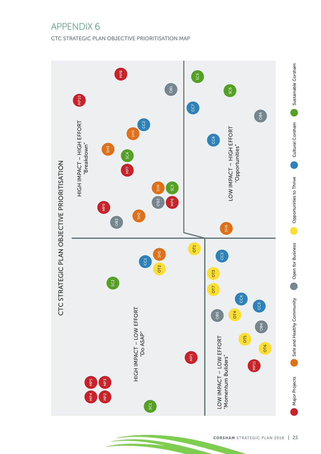CTC STRATEGIC PLAN OBJECTIVE PRIORITISATION MAP

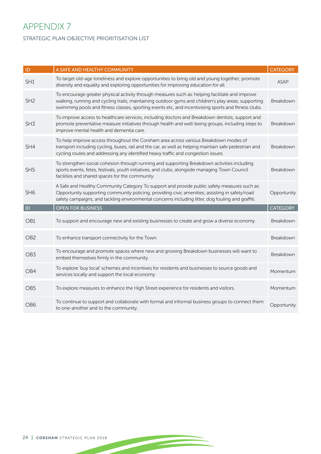### STRATEGIC PLAN OBJECTIVE PRIORITISATION LIST

| ID              | A SAFE AND HEALTHY COMMUNITY                                                                                                                                                                                                                                                                                   | <b>CATEGORY</b>  |
|-----------------|----------------------------------------------------------------------------------------------------------------------------------------------------------------------------------------------------------------------------------------------------------------------------------------------------------------|------------------|
| SH <sub>1</sub> | To target old-age loneliness and explore opportunities to bring old and young together; promote<br>diversity and equality and exploring opportunities for improving education for all.                                                                                                                         | <b>ASAP</b>      |
| SH <sub>2</sub> | To encourage greater physical activity through measures such as: helping facilitate and improve<br>walking, running and cycling trails; maintaining outdoor gyms and children's play areas; supporting<br>swimming pools and fitness classes, sporting events etc, and incentivising sports and fitness clubs. | <b>Breakdown</b> |
| SH <sub>3</sub> | To improve access to healthcare services, including doctors and Breakdown dentists; support and<br>promote preventative measure initiatives through health and well-being groups, including steps to<br>improve mental health and dementia care.                                                               | Breakdown        |
| SH4             | To help improve access throughout the Corsham area across various Breakdown modes of<br>transport including cycling, buses, rail and the car, as well as helping maintain safe pedestrian and<br>cycling routes and addressing any identified heavy traffic and congestion issues.                             | <b>Breakdown</b> |
| SH <sub>5</sub> | To strengthen social cohesion through running and supporting Breakdown activities including<br>sports events, fetes, festivals, youth initiatives, and clubs; alongside managing Town Council<br>facilities and shared spaces for the community.                                                               | Breakdown        |
| SH <sub>6</sub> | A Safe and Healthy Community Category To support and provide public safety measures such as:<br>Opportunity supporting community policing; providing civic amenities; assisting in safety/road<br>safety campaigns; and tackling environmental concerns including litter, dog fouling and graffiti.            | Opportunity      |
| D               | <b>OPEN FOR BUSINESS</b>                                                                                                                                                                                                                                                                                       | <b>CATEGORY</b>  |
| OB1             | To support and encourage new and existing businesses to create and grow a diverse economy.                                                                                                                                                                                                                     | Breakdown        |
| OB <sub>2</sub> | To enhance transport connectivity for the Town.                                                                                                                                                                                                                                                                | Breakdown        |
| OB <sub>3</sub> | To encourage and promote spaces where new and growing Breakdown businesses will want to<br>embed themselves firmly in the community.                                                                                                                                                                           | Breakdown        |
| OB4             | To explore 'buy local' schemes and incentives for residents and businesses to source goods and<br>services locally and support the local economy.                                                                                                                                                              | Momentum         |
| OB <sub>5</sub> | To explore measures to enhance the High Street experience for residents and visitors.                                                                                                                                                                                                                          | Momentum         |
| OB <sub>6</sub> | To continue to support and collaborate with formal and informal business groups to connect them<br>to one-another and to the community.                                                                                                                                                                        | Opportunity      |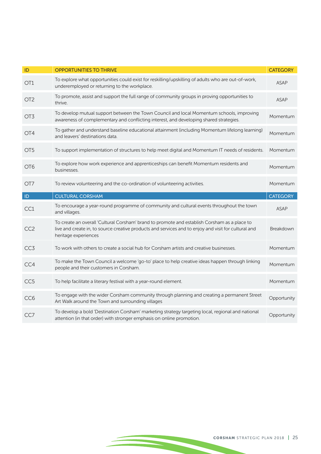| ID              | <b>OPPORTUNITIES TO THRIVE</b>                                                                                                                                                                                               | <b>CATEGORY</b> |
|-----------------|------------------------------------------------------------------------------------------------------------------------------------------------------------------------------------------------------------------------------|-----------------|
| OT <sub>1</sub> | To explore what opportunities could exist for reskilling/upskilling of adults who are out-of-work,<br>underemployed or returning to the workplace.                                                                           | <b>ASAP</b>     |
| OT <sub>2</sub> | To promote, assist and support the full range of community groups in proving opportunities to<br>thrive.                                                                                                                     | <b>ASAP</b>     |
| OT <sub>3</sub> | To develop mutual support between the Town Council and local Momentum schools, improving<br>awareness of complementary and conflicting interest, and developing shared strategies.                                           | Momentum        |
| OT4             | To gather and understand baseline educational attainment (including Momentum lifelong learning)<br>and leavers' destinations data.                                                                                           | Momentum        |
| OT <sub>5</sub> | To support implementation of structures to help meet digital and Momentum IT needs of residents.                                                                                                                             | Momentum        |
| OT <sub>6</sub> | To explore how work experience and apprenticeships can benefit Momentum residents and<br>businesses.                                                                                                                         | Momentum        |
| OT7             | To review volunteering and the co-ordination of volunteering activities.                                                                                                                                                     | Momentum        |
|                 |                                                                                                                                                                                                                              |                 |
| ID              | <b>CULTURAL CORSHAM</b>                                                                                                                                                                                                      | <b>CATEGORY</b> |
| CC1             | To encourage a year-round programme of community and cultural events throughout the town<br>and villages.                                                                                                                    | <b>ASAP</b>     |
| CC <sub>2</sub> | To create an overall 'Cultural Corsham' brand to promote and establish Corsham as a place to<br>live and create in, to source creative products and services and to enjoy and visit for cultural and<br>heritage experiences | Breakdown       |
| CC <sub>3</sub> | To work with others to create a social hub for Corsham artists and creative businesses.                                                                                                                                      | Momentum        |
| CC4             | To make the Town Council a welcome 'go-to' place to help creative ideas happen through linking<br>people and their customers in Corsham.                                                                                     | Momentum        |
| CC <sub>5</sub> | To help facilitate a literary festival with a year-round element.                                                                                                                                                            | Momentum        |
| CC <sub>6</sub> | To engage with the wider Corsham community through planning and creating a permanent Street<br>Art Walk around the Town and surrounding villages                                                                             | Opportunity     |

**Contract Contract Contract Contract**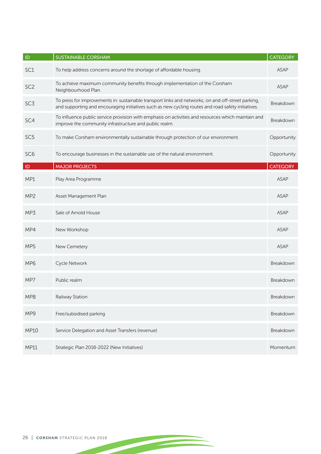| $\vert$ ID      | <b>SUSTAINABLE CORSHAM</b>                                                                                                                                                                               | <b>CATEGORY</b> |
|-----------------|----------------------------------------------------------------------------------------------------------------------------------------------------------------------------------------------------------|-----------------|
| SC <sub>1</sub> | To help address concerns around the shortage of affordable housing.                                                                                                                                      | <b>ASAP</b>     |
| SC <sub>2</sub> | To achieve maximum community benefits through implementation of the Corsham<br>Neighbourhood Plan.                                                                                                       | <b>ASAP</b>     |
| SC <sub>3</sub> | To press for improvements in: sustainable transport links and networks; on and off-street parking,<br>and supporting and encouraging initiatives such as new cycling routes and road safety initiatives. | Breakdown       |
| SC <sub>4</sub> | To influence public service provision with emphasis on activities and resources which maintain and<br>improve the community infrastructure and public realm.                                             | Breakdown       |
| SC <sub>5</sub> | To make Corsham environmentally sustainable through protection of our environment.                                                                                                                       | Opportunity     |
| SC <sub>6</sub> | To encourage businesses in the sustainable use of the natural environment.                                                                                                                               | Opportunity     |
| $\overline{1}$  | <b>MAJOR PROJECTS</b>                                                                                                                                                                                    | <b>CATEGORY</b> |
| MP1             | Play Area Programme                                                                                                                                                                                      | <b>ASAP</b>     |
| MP <sub>2</sub> | Asset Management Plan                                                                                                                                                                                    | ASAP            |
| MP3             | Sale of Arnold House                                                                                                                                                                                     | <b>ASAP</b>     |
| MP4             | New Workshop                                                                                                                                                                                             | <b>ASAP</b>     |
| MP <sub>5</sub> | New Cemetery                                                                                                                                                                                             | <b>ASAP</b>     |
| MP <sub>6</sub> | Cycle Network                                                                                                                                                                                            | Breakdown       |
| MP7             | Public realm                                                                                                                                                                                             | Breakdown       |
| MP8             | Railway Station                                                                                                                                                                                          | Breakdown       |
| MP9             | Free/subsidised parking                                                                                                                                                                                  | Breakdown       |
| <b>MP10</b>     | Service Delegation and Asset Transfers (revenue)                                                                                                                                                         | Breakdown       |
| <b>MP11</b>     | Strategic Plan 2018-2022 (New Initiatives)                                                                                                                                                               | Momentum        |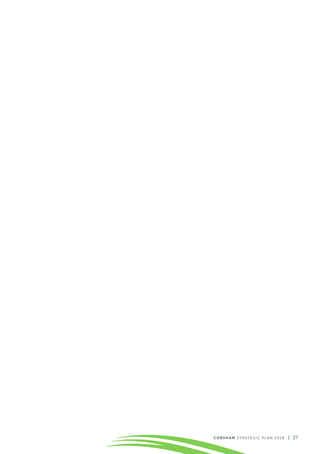

a P